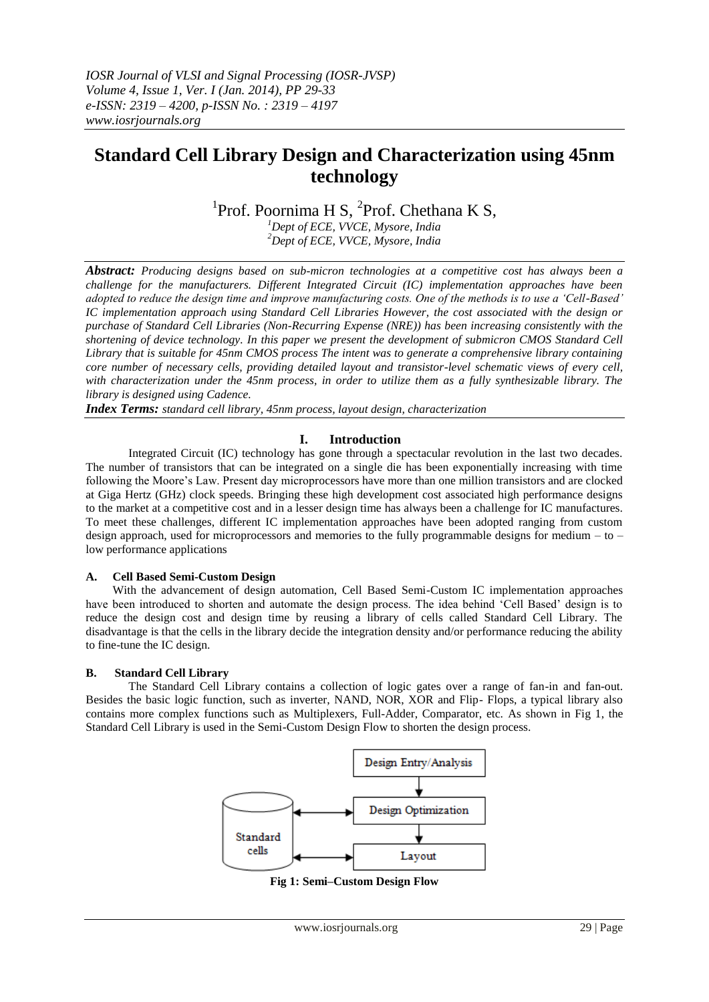# **Standard Cell Library Design and Characterization using 45nm technology**

<sup>1</sup>Prof. Poornima H S, <sup>2</sup>Prof. Chethana K S,

*<sup>1</sup>Dept of ECE, VVCE, Mysore, India <sup>2</sup>Dept of ECE, VVCE, Mysore, India*

*Abstract: Producing designs based on sub-micron technologies at a competitive cost has always been a challenge for the manufacturers. Different Integrated Circuit (IC) implementation approaches have been adopted to reduce the design time and improve manufacturing costs. One of the methods is to use a 'Cell-Based' IC implementation approach using Standard Cell Libraries However, the cost associated with the design or purchase of Standard Cell Libraries (Non-Recurring Expense (NRE)) has been increasing consistently with the shortening of device technology. In this paper we present the development of submicron CMOS Standard Cell Library that is suitable for 45nm CMOS process The intent was to generate a comprehensive library containing core number of necessary cells, providing detailed layout and transistor-level schematic views of every cell, with characterization under the 45nm process, in order to utilize them as a fully synthesizable library. The library is designed using Cadence.*

*Index Terms: standard cell library, 45nm process, layout design, characterization*

# **I. Introduction**

Integrated Circuit (IC) technology has gone through a spectacular revolution in the last two decades. The number of transistors that can be integrated on a single die has been exponentially increasing with time following the Moore"s Law. Present day microprocessors have more than one million transistors and are clocked at Giga Hertz (GHz) clock speeds. Bringing these high development cost associated high performance designs to the market at a competitive cost and in a lesser design time has always been a challenge for IC manufactures. To meet these challenges, different IC implementation approaches have been adopted ranging from custom design approach, used for microprocessors and memories to the fully programmable designs for medium – to – low performance applications

# **A. Cell Based Semi-Custom Design**

With the advancement of design automation, Cell Based Semi-Custom IC implementation approaches have been introduced to shorten and automate the design process. The idea behind "Cell Based" design is to reduce the design cost and design time by reusing a library of cells called Standard Cell Library. The disadvantage is that the cells in the library decide the integration density and/or performance reducing the ability to fine-tune the IC design.

# **B. Standard Cell Library**

The Standard Cell Library contains a collection of logic gates over a range of fan-in and fan-out. Besides the basic logic function, such as inverter, NAND, NOR, XOR and Flip- Flops, a typical library also contains more complex functions such as Multiplexers, Full-Adder, Comparator, etc. As shown in Fig 1, the Standard Cell Library is used in the Semi-Custom Design Flow to shorten the design process.



**Fig 1: Semi–Custom Design Flow**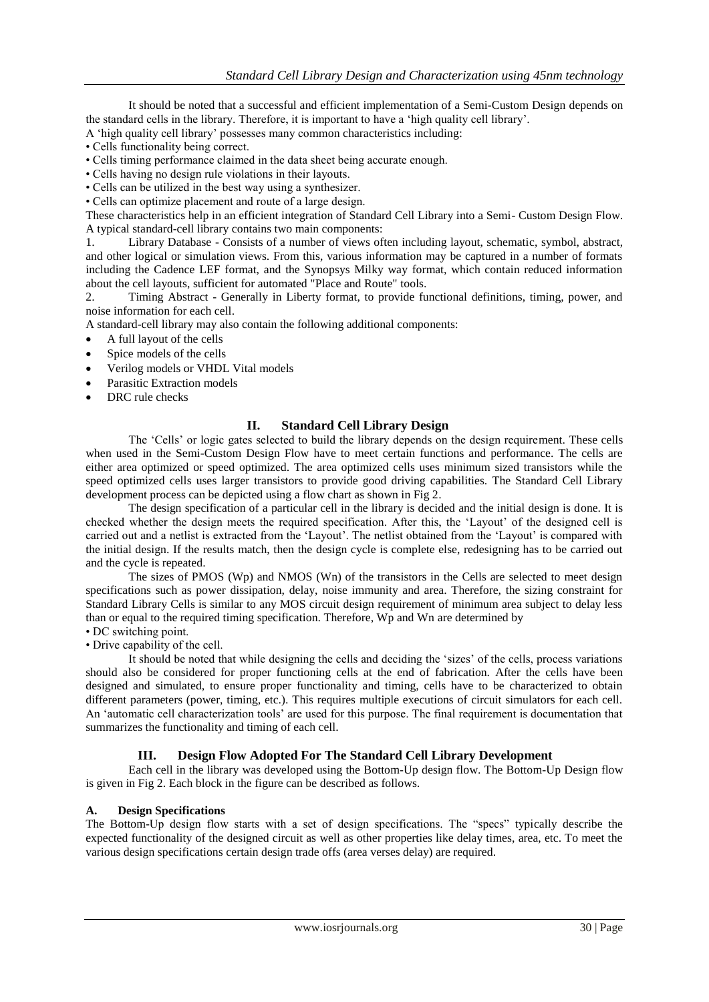It should be noted that a successful and efficient implementation of a Semi-Custom Design depends on the standard cells in the library. Therefore, it is important to have a "high quality cell library".

A "high quality cell library" possesses many common characteristics including:

- Cells functionality being correct.
- Cells timing performance claimed in the data sheet being accurate enough.
- Cells having no design rule violations in their layouts.
- Cells can be utilized in the best way using a synthesizer.
- Cells can optimize placement and route of a large design.

These characteristics help in an efficient integration of Standard Cell Library into a Semi- Custom Design Flow. A typical standard-cell library contains two main components:

1. Library Database - Consists of a number of views often including layout, schematic, symbol, abstract, and other logical or simulation views. From this, various information may be captured in a number of formats including the Cadence LEF format, and the Synopsys Milky way format, which contain reduced information about the cell layouts, sufficient for automated "Place and Route" tools.

2. Timing Abstract - Generally in Liberty format, to provide functional definitions, timing, power, and noise information for each cell.

A standard-cell library may also contain the following additional components:

- A full layout of the cells
- Spice models of the cells
- Verilog models or VHDL Vital models
- Parasitic Extraction models
- DRC rule checks

#### **II. Standard Cell Library Design**

The "Cells" or logic gates selected to build the library depends on the design requirement. These cells when used in the Semi-Custom Design Flow have to meet certain functions and performance. The cells are either area optimized or speed optimized. The area optimized cells uses minimum sized transistors while the speed optimized cells uses larger transistors to provide good driving capabilities. The Standard Cell Library development process can be depicted using a flow chart as shown in Fig 2.

The design specification of a particular cell in the library is decided and the initial design is done. It is checked whether the design meets the required specification. After this, the "Layout" of the designed cell is carried out and a netlist is extracted from the "Layout". The netlist obtained from the "Layout" is compared with the initial design. If the results match, then the design cycle is complete else, redesigning has to be carried out and the cycle is repeated.

The sizes of PMOS (Wp) and NMOS (Wn) of the transistors in the Cells are selected to meet design specifications such as power dissipation, delay, noise immunity and area. Therefore, the sizing constraint for Standard Library Cells is similar to any MOS circuit design requirement of minimum area subject to delay less than or equal to the required timing specification. Therefore, Wp and Wn are determined by

- DC switching point.
- Drive capability of the cell.

It should be noted that while designing the cells and deciding the "sizes" of the cells, process variations should also be considered for proper functioning cells at the end of fabrication. After the cells have been designed and simulated, to ensure proper functionality and timing, cells have to be characterized to obtain different parameters (power, timing, etc.). This requires multiple executions of circuit simulators for each cell. An "automatic cell characterization tools" are used for this purpose. The final requirement is documentation that summarizes the functionality and timing of each cell.

# **III. Design Flow Adopted For The Standard Cell Library Development**

Each cell in the library was developed using the Bottom-Up design flow. The Bottom-Up Design flow is given in Fig 2. Each block in the figure can be described as follows.

#### **A. Design Specifications**

The Bottom-Up design flow starts with a set of design specifications. The "specs" typically describe the expected functionality of the designed circuit as well as other properties like delay times, area, etc. To meet the various design specifications certain design trade offs (area verses delay) are required.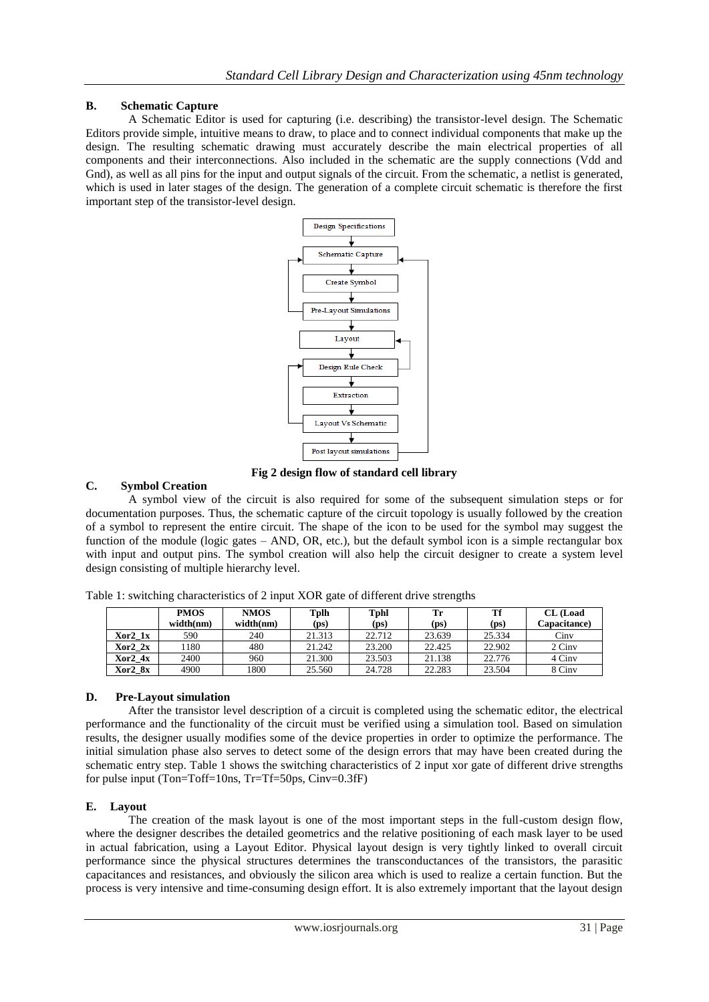# **B. Schematic Capture**

A Schematic Editor is used for capturing (i.e. describing) the transistor-level design. The Schematic Editors provide simple, intuitive means to draw, to place and to connect individual components that make up the design. The resulting schematic drawing must accurately describe the main electrical properties of all components and their interconnections. Also included in the schematic are the supply connections (Vdd and Gnd), as well as all pins for the input and output signals of the circuit. From the schematic, a netlist is generated, which is used in later stages of the design. The generation of a complete circuit schematic is therefore the first important step of the transistor-level design.



**Fig 2 design flow of standard cell library**

# **C. Symbol Creation**

A symbol view of the circuit is also required for some of the subsequent simulation steps or for documentation purposes. Thus, the schematic capture of the circuit topology is usually followed by the creation of a symbol to represent the entire circuit. The shape of the icon to be used for the symbol may suggest the function of the module (logic gates – AND, OR, etc.), but the default symbol icon is a simple rectangular box with input and output pins. The symbol creation will also help the circuit designer to create a system level design consisting of multiple hierarchy level.

|         | <b>PMOS</b> | <b>NMOS</b> | Tplh              | Tphl   | Tr     |                   | <b>CL</b> (Load     |
|---------|-------------|-------------|-------------------|--------|--------|-------------------|---------------------|
|         | width(nm)   | width(nm)   | (p <sub>S</sub> ) | (ps)   | (ps)   | (p <sub>S</sub> ) | <b>Capacitance)</b> |
| Xor2 1x | 590         | 240         | 21.313            | 22.712 | 23.639 | 25.334            | C <sub>inv</sub>    |
| Xor2 2x | 180         | 480         | 21.242            | 23.200 | 22.425 | 22.902            | 2 Ciny              |
| Xor2 4x | 2400        | 960         | 21.300            | 23.503 | 21.138 | 22.776            | 4 Cinv              |
| Xor2 8x | 4900        | 1800        | 25.560            | 24.728 | 22.283 | 23.504            | 8 Ciny              |

Table 1: switching characteristics of 2 input XOR gate of different drive strengths

# **D. Pre-Layout simulation**

After the transistor level description of a circuit is completed using the schematic editor, the electrical performance and the functionality of the circuit must be verified using a simulation tool. Based on simulation results, the designer usually modifies some of the device properties in order to optimize the performance. The initial simulation phase also serves to detect some of the design errors that may have been created during the schematic entry step. Table 1 shows the switching characteristics of 2 input xor gate of different drive strengths for pulse input (Ton=Toff=10ns, Tr=Tf=50ps, Cinv=0.3fF)

# **E. Layout**

The creation of the mask layout is one of the most important steps in the full-custom design flow, where the designer describes the detailed geometrics and the relative positioning of each mask layer to be used in actual fabrication, using a Layout Editor. Physical layout design is very tightly linked to overall circuit performance since the physical structures determines the transconductances of the transistors, the parasitic capacitances and resistances, and obviously the silicon area which is used to realize a certain function. But the process is very intensive and time-consuming design effort. It is also extremely important that the layout design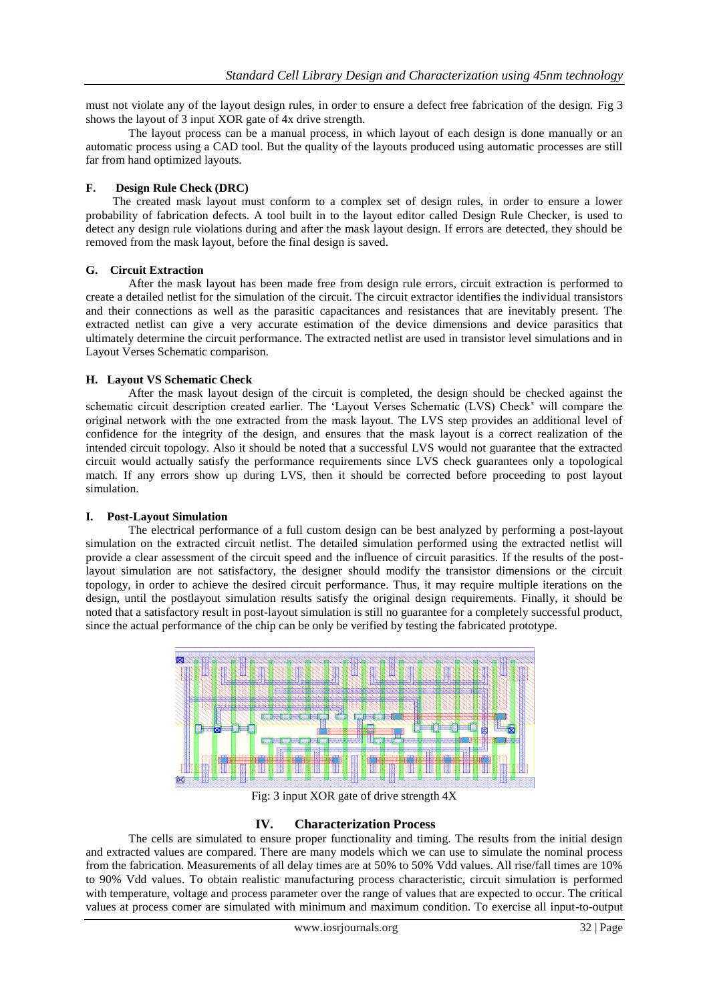must not violate any of the layout design rules, in order to ensure a defect free fabrication of the design. Fig 3 shows the layout of 3 input XOR gate of 4x drive strength.

The layout process can be a manual process, in which layout of each design is done manually or an automatic process using a CAD tool. But the quality of the layouts produced using automatic processes are still far from hand optimized layouts.

#### **F. Design Rule Check (DRC)**

The created mask layout must conform to a complex set of design rules, in order to ensure a lower probability of fabrication defects. A tool built in to the layout editor called Design Rule Checker, is used to detect any design rule violations during and after the mask layout design. If errors are detected, they should be removed from the mask layout, before the final design is saved.

#### **G. Circuit Extraction**

After the mask layout has been made free from design rule errors, circuit extraction is performed to create a detailed netlist for the simulation of the circuit. The circuit extractor identifies the individual transistors and their connections as well as the parasitic capacitances and resistances that are inevitably present. The extracted netlist can give a very accurate estimation of the device dimensions and device parasitics that ultimately determine the circuit performance. The extracted netlist are used in transistor level simulations and in Layout Verses Schematic comparison.

#### **H. Layout VS Schematic Check**

After the mask layout design of the circuit is completed, the design should be checked against the schematic circuit description created earlier. The 'Layout Verses Schematic (LVS) Check' will compare the original network with the one extracted from the mask layout. The LVS step provides an additional level of confidence for the integrity of the design, and ensures that the mask layout is a correct realization of the intended circuit topology. Also it should be noted that a successful LVS would not guarantee that the extracted circuit would actually satisfy the performance requirements since LVS check guarantees only a topological match. If any errors show up during LVS, then it should be corrected before proceeding to post layout simulation.

#### **I. Post-Layout Simulation**

The electrical performance of a full custom design can be best analyzed by performing a post-layout simulation on the extracted circuit netlist. The detailed simulation performed using the extracted netlist will provide a clear assessment of the circuit speed and the influence of circuit parasitics. If the results of the postlayout simulation are not satisfactory, the designer should modify the transistor dimensions or the circuit topology, in order to achieve the desired circuit performance. Thus, it may require multiple iterations on the design, until the postlayout simulation results satisfy the original design requirements. Finally, it should be noted that a satisfactory result in post-layout simulation is still no guarantee for a completely successful product, since the actual performance of the chip can be only be verified by testing the fabricated prototype.



Fig: 3 input XOR gate of drive strength 4X

# **IV. Characterization Process**

The cells are simulated to ensure proper functionality and timing. The results from the initial design and extracted values are compared. There are many models which we can use to simulate the nominal process from the fabrication. Measurements of all delay times are at 50% to 50% Vdd values. All rise/fall times are 10% to 90% Vdd values. To obtain realistic manufacturing process characteristic, circuit simulation is performed with temperature, voltage and process parameter over the range of values that are expected to occur. The critical values at process comer are simulated with minimum and maximum condition. To exercise all input-to-output